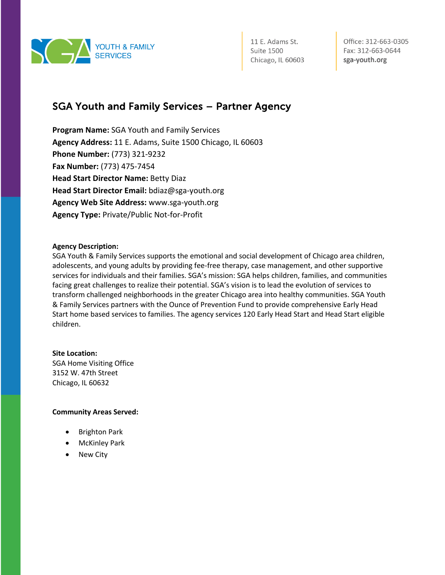

Office: 312-663-0305 Fax: 312-663-0644 sga-youth.org

### SGA Youth and Family Services – Partner Agency

**Program Name:** SGA Youth and Family Services **Agency Address:** 11 E. Adams, Suite 1500 Chicago, IL 60603 **Phone Number:** (773) 321-9232 **Fax Number:** (773) 475-7454 **Head Start Director Name:** Betty Diaz **Head Start Director Email:** bdiaz@sga-youth.org **Agency Web Site Address:** www.sga-youth.org **Agency Type:** Private/Public Not-for-Profit

#### **Agency Description:**

SGA Youth & Family Services supports the emotional and social development of Chicago area children, adolescents, and young adults by providing fee-free therapy, case management, and other supportive services for individuals and their families. SGA's mission: SGA helps children, families, and communities facing great challenges to realize their potential. SGA's vision is to lead the evolution of services to transform challenged neighborhoods in the greater Chicago area into healthy communities. SGA Youth & Family Services partners with the Ounce of Prevention Fund to provide comprehensive Early Head Start home based services to families. The agency services 120 Early Head Start and Head Start eligible children.

**Site Location:**  SGA Home Visiting Office 3152 W. 47th Street Chicago, IL 60632

#### **Community Areas Served:**

- Brighton Park
- McKinley Park
- New City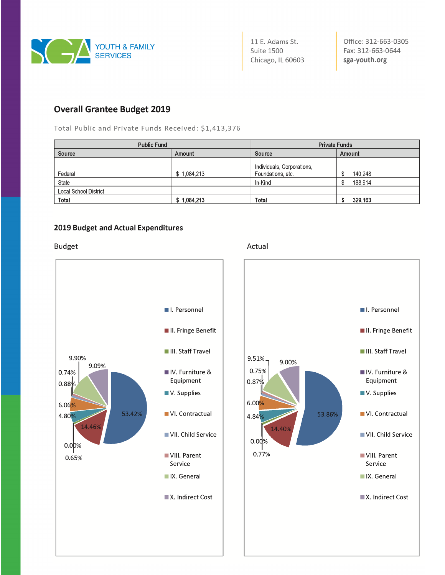

Office: 312-663-0305 Fax: 312-663-0644 sga-youth.org

I. Personnel

II. Fringe Benefit

III. Staff Travel

IV. Furniture &

VI. Contractual

■ VII. Child Service

VIII. Parent

IX. General

X. Indirect Cost

Service

Equipment

V. Supplies

### **Overall Grantee Budget 2019**

Total Public and Private Funds Received: \$1,413,376

| <b>Public Fund</b>    |             | <b>Private Funds</b>                            |               |
|-----------------------|-------------|-------------------------------------------------|---------------|
| Source                | Amount      | Source                                          | Amount        |
| Federal               | \$1,084,213 | Individuals, Corporations,<br>Foundations, etc. | 140,248<br>\$ |
| State                 |             | In-Kind                                         | 188,914       |
| Local School District |             |                                                 |               |
| Total                 | \$1,084,213 | <b>Total</b>                                    | 329,163       |

#### 2019 Budget and Actual Expenditures

**Budget** 



#### Actual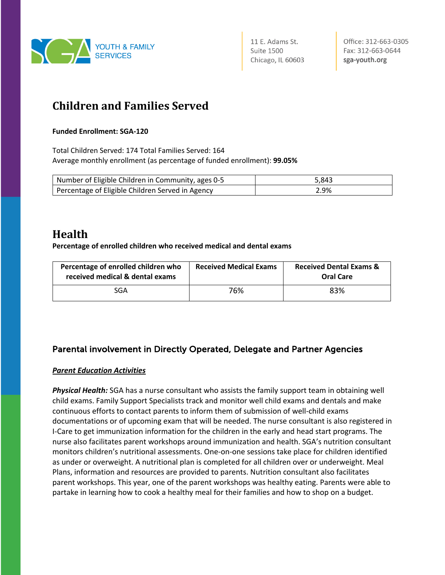

Office: 312-663-0305 Fax: 312-663-0644 sga-youth.org

# **Children and Families Served**

#### **Funded Enrollment: SGA-120**

Total Children Served: 174 Total Families Served: 164 Average monthly enrollment (as percentage of funded enrollment): **99.05%**

| Number of Eligible Children in Community, ages 0-5 | 5.843 |
|----------------------------------------------------|-------|
| Percentage of Eligible Children Served in Agency   | 2.9%  |

## **Health**

**Percentage of enrolled children who received medical and dental exams**

| Percentage of enrolled children who<br>received medical & dental exams | <b>Received Medical Exams</b> | <b>Received Dental Exams &amp;</b><br><b>Oral Care</b> |
|------------------------------------------------------------------------|-------------------------------|--------------------------------------------------------|
| SGA                                                                    | 76%                           | 83%                                                    |

### Parental involvement in Directly Operated, Delegate and Partner Agencies

#### *Parent Education Activities*

*Physical Health:* SGA has a nurse consultant who assists the family support team in obtaining well child exams. Family Support Specialists track and monitor well child exams and dentals and make continuous efforts to contact parents to inform them of submission of well-child exams documentations or of upcoming exam that will be needed. The nurse consultant is also registered in I-Care to get immunization information for the children in the early and head start programs. The nurse also facilitates parent workshops around immunization and health. SGA's nutrition consultant monitors children's nutritional assessments. One-on-one sessions take place for children identified as under or overweight. A nutritional plan is completed for all children over or underweight. Meal Plans, information and resources are provided to parents. Nutrition consultant also facilitates parent workshops. This year, one of the parent workshops was healthy eating. Parents were able to partake in learning how to cook a healthy meal for their families and how to shop on a budget.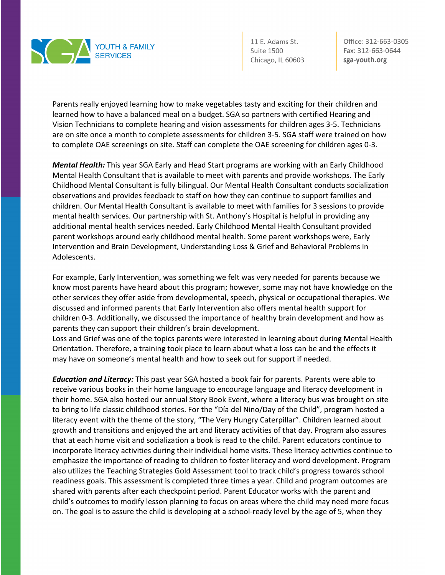

Office: 312-663-0305 Fax: 312-663-0644 sga-youth.org

Parents really enjoyed learning how to make vegetables tasty and exciting for their children and learned how to have a balanced meal on a budget. SGA so partners with certified Hearing and Vision Technicians to complete hearing and vision assessments for children ages 3-5. Technicians are on site once a month to complete assessments for children 3-5. SGA staff were trained on how to complete OAE screenings on site. Staff can complete the OAE screening for children ages 0-3.

*Mental Health:* This year SGA Early and Head Start programs are working with an Early Childhood Mental Health Consultant that is available to meet with parents and provide workshops. The Early Childhood Mental Consultant is fully bilingual. Our Mental Health Consultant conducts socialization observations and provides feedback to staff on how they can continue to support families and children. Our Mental Health Consultant is available to meet with families for 3 sessions to provide mental health services. Our partnership with St. Anthony's Hospital is helpful in providing any additional mental health services needed. Early Childhood Mental Health Consultant provided parent workshops around early childhood mental health. Some parent workshops were, Early Intervention and Brain Development, Understanding Loss & Grief and Behavioral Problems in Adolescents.

For example, Early Intervention, was something we felt was very needed for parents because we know most parents have heard about this program; however, some may not have knowledge on the other services they offer aside from developmental, speech, physical or occupational therapies. We discussed and informed parents that Early Intervention also offers mental health support for children 0-3. Additionally, we discussed the importance of healthy brain development and how as parents they can support their children's brain development.

Loss and Grief was one of the topics parents were interested in learning about during Mental Health Orientation. Therefore, a training took place to learn about what a loss can be and the effects it may have on someone's mental health and how to seek out for support if needed.

*Education and Literacy:* This past year SGA hosted a book fair for parents. Parents were able to receive various books in their home language to encourage language and literacy development in their home. SGA also hosted our annual Story Book Event, where a literacy bus was brought on site to bring to life classic childhood stories. For the "Día del Nino/Day of the Child", program hosted a literacy event with the theme of the story, "The Very Hungry Caterpillar". Children learned about growth and transitions and enjoyed the art and literacy activities of that day. Program also assures that at each home visit and socialization a book is read to the child. Parent educators continue to incorporate literacy activities during their individual home visits. These literacy activities continue to emphasize the importance of reading to children to foster literacy and word development. Program also utilizes the Teaching Strategies Gold Assessment tool to track child's progress towards school readiness goals. This assessment is completed three times a year. Child and program outcomes are shared with parents after each checkpoint period. Parent Educator works with the parent and child's outcomes to modify lesson planning to focus on areas where the child may need more focus on. The goal is to assure the child is developing at a school-ready level by the age of 5, when they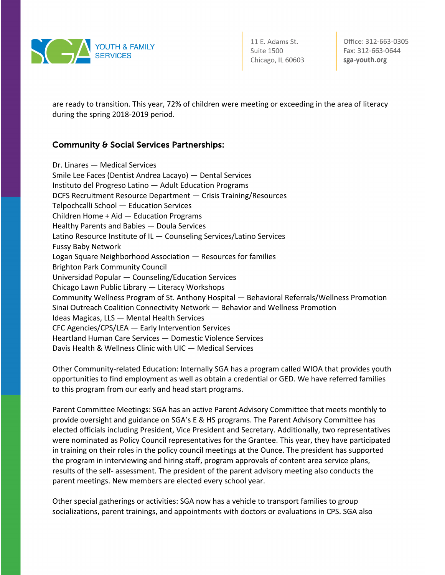

Office: 312-663-0305 Fax: 312-663-0644 sga-youth.org

are ready to transition. This year, 72% of children were meeting or exceeding in the area of literacy during the spring 2018-2019 period.

#### Community & Social Services Partnerships:

Dr. Linares — Medical Services Smile Lee Faces (Dentist Andrea Lacayo) — Dental Services Instituto del Progreso Latino — Adult Education Programs DCFS Recruitment Resource Department — Crisis Training/Resources Telpochcalli School — Education Services Children Home + Aid — Education Programs Healthy Parents and Babies — Doula Services Latino Resource Institute of IL — Counseling Services/Latino Services Fussy Baby Network Logan Square Neighborhood Association — Resources for families Brighton Park Community Council Universidad Popular — Counseling/Education Services Chicago Lawn Public Library — Literacy Workshops Community Wellness Program of St. Anthony Hospital — Behavioral Referrals/Wellness Promotion Sinai Outreach Coalition Connectivity Network — Behavior and Wellness Promotion Ideas Magicas, LLS — Mental Health Services CFC Agencies/CPS/LEA — Early Intervention Services Heartland Human Care Services — Domestic Violence Services Davis Health & Wellness Clinic with UIC — Medical Services

Other Community-related Education: Internally SGA has a program called WIOA that provides youth opportunities to find employment as well as obtain a credential or GED. We have referred families to this program from our early and head start programs.

Parent Committee Meetings: SGA has an active Parent Advisory Committee that meets monthly to provide oversight and guidance on SGA's E & HS programs. The Parent Advisory Committee has elected officials including President, Vice President and Secretary. Additionally, two representatives were nominated as Policy Council representatives for the Grantee. This year, they have participated in training on their roles in the policy council meetings at the Ounce. The president has supported the program in interviewing and hiring staff, program approvals of content area service plans, results of the self- assessment. The president of the parent advisory meeting also conducts the parent meetings. New members are elected every school year.

Other special gatherings or activities: SGA now has a vehicle to transport families to group socializations, parent trainings, and appointments with doctors or evaluations in CPS. SGA also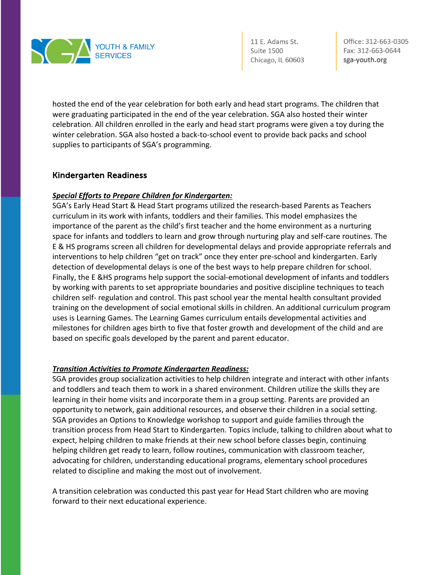

Office: 312-663-0305 Fax: 312-663-0644 sga-youth.org

hosted the end of the year celebration for both early and head start programs. The children that were graduating participated in the end of the year celebration. SGA also hosted their winter celebration. All children enrolled in the early and head start programs were given a toy during the winter celebration. SGA also hosted a back-to-school event to provide back packs and school supplies to participants of SGA's programming.

#### Kindergarten Readiness

#### *Special Efforts to Prepare Children for Kindergarten:*

SGA's Early Head Start & Head Start programs utilized the research-based Parents as Teachers curriculum in its work with infants, toddlers and their families. This model emphasizes the importance of the parent as the child's first teacher and the home environment as a nurturing space for infants and toddlers to learn and grow through nurturing play and self-care routines. The E & HS programs screen all children for developmental delays and provide appropriate referrals and interventions to help children "get on track" once they enter pre-school and kindergarten. Early detection of developmental delays is one of the best ways to help prepare children for school. Finally, the E &HS programs help support the social-emotional development of infants and toddlers by working with parents to set appropriate boundaries and positive discipline techniques to teach children self- regulation and control. This past school year the mental health consultant provided training on the development of social emotional skills in children. An additional curriculum program uses is Learning Games. The Learning Games curriculum entails developmental activities and milestones for children ages birth to five that foster growth and development of the child and are based on specific goals developed by the parent and parent educator.

#### *Transition Activities to Promote Kindergarten Readiness:*

SGA provides group socialization activities to help children integrate and interact with other infants and toddlers and teach them to work in a shared environment. Children utilize the skills they are learning in their home visits and incorporate them in a group setting. Parents are provided an opportunity to network, gain additional resources, and observe their children in a social setting. SGA provides an Options to Knowledge workshop to support and guide families through the transition process from Head Start to Kindergarten. Topics include, talking to children about what to expect, helping children to make friends at their new school before classes begin, continuing helping children get ready to learn, follow routines, communication with classroom teacher, advocating for children, understanding educational programs, elementary school procedures related to discipline and making the most out of involvement.

A transition celebration was conducted this past year for Head Start children who are moving forward to their next educational experience.